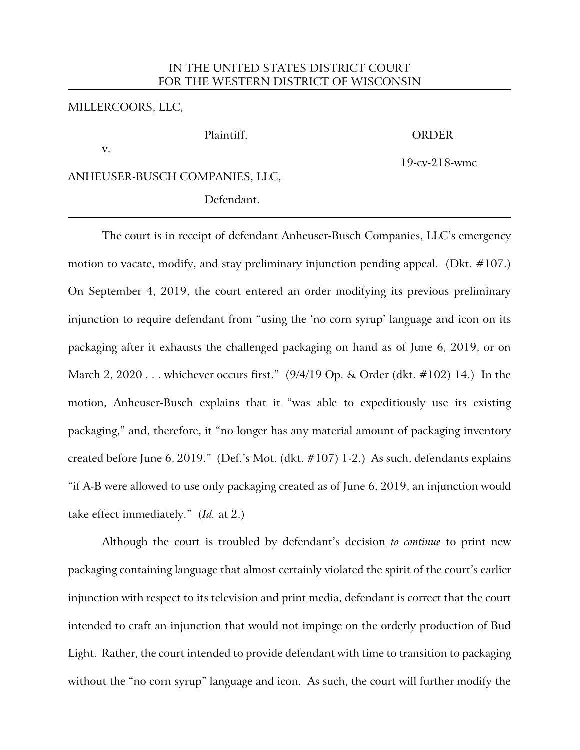# IN THE UNITED STATES DISTRICT COURT FOR THE WESTERN DISTRICT OF WISCONSIN

### MILLERCOORS, LLC,

#### Plaintiff, ORDER

v.

19-cv-218-wmc

## ANHEUSER-BUSCH COMPANIES, LLC,

Defendant.

The court is in receipt of defendant Anheuser-Busch Companies, LLC's emergency motion to vacate, modify, and stay preliminary injunction pending appeal. (Dkt. #107.) On September 4, 2019, the court entered an order modifying its previous preliminary injunction to require defendant from "using the 'no corn syrup' language and icon on its packaging after it exhausts the challenged packaging on hand as of June 6, 2019, or on March 2, 2020 . . . whichever occurs first." (9/4/19 Op. & Order (dkt. #102) 14.) In the motion, Anheuser-Busch explains that it "was able to expeditiously use its existing packaging," and, therefore, it "no longer has any material amount of packaging inventory created before June 6, 2019." (Def.'s Mot. (dkt. #107) 1-2.) As such, defendants explains "if A-B were allowed to use only packaging created as of June 6, 2019, an injunction would take effect immediately." (*Id.* at 2.)

Although the court is troubled by defendant's decision *to continue* to print new packaging containing language that almost certainly violated the spirit of the court's earlier injunction with respect to its television and print media, defendant is correct that the court intended to craft an injunction that would not impinge on the orderly production of Bud Light. Rather, the court intended to provide defendant with time to transition to packaging without the "no corn syrup" language and icon. As such, the court will further modify the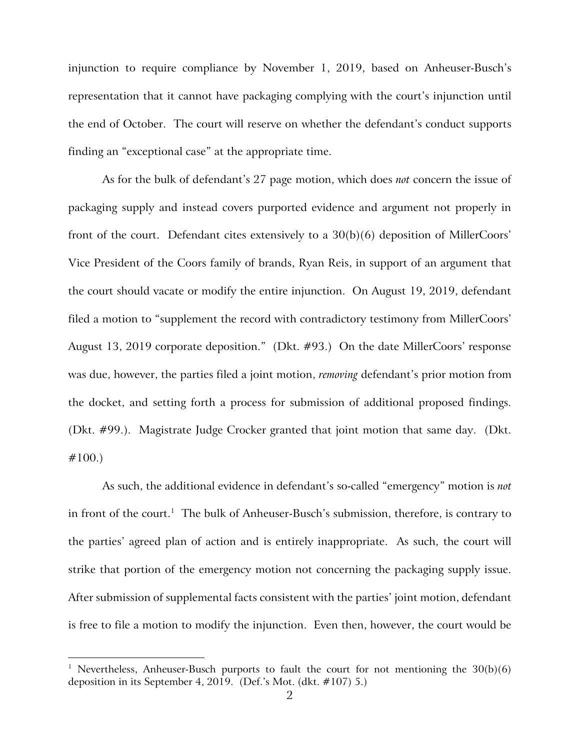injunction to require compliance by November 1, 2019, based on Anheuser-Busch's representation that it cannot have packaging complying with the court's injunction until the end of October. The court will reserve on whether the defendant's conduct supports finding an "exceptional case" at the appropriate time.

As for the bulk of defendant's 27 page motion, which does *not* concern the issue of packaging supply and instead covers purported evidence and argument not properly in front of the court. Defendant cites extensively to a 30(b)(6) deposition of MillerCoors' Vice President of the Coors family of brands, Ryan Reis, in support of an argument that the court should vacate or modify the entire injunction. On August 19, 2019, defendant filed a motion to "supplement the record with contradictory testimony from MillerCoors' August 13, 2019 corporate deposition." (Dkt. #93.) On the date MillerCoors' response was due, however, the parties filed a joint motion, *removing* defendant's prior motion from the docket, and setting forth a process for submission of additional proposed findings. (Dkt. #99.). Magistrate Judge Crocker granted that joint motion that same day. (Dkt. #100.)

As such, the additional evidence in defendant's so-called "emergency" motion is *not*  in front of the court.<sup>1</sup> The bulk of Anheuser-Busch's submission, therefore, is contrary to the parties' agreed plan of action and is entirely inappropriate. As such, the court will strike that portion of the emergency motion not concerning the packaging supply issue. After submission of supplemental facts consistent with the parties' joint motion, defendant is free to file a motion to modify the injunction. Even then, however, the court would be

 $\overline{a}$ 

<sup>&</sup>lt;sup>1</sup> Nevertheless, Anheuser-Busch purports to fault the court for not mentioning the  $30(b)(6)$ deposition in its September 4, 2019. (Def.'s Mot. (dkt. #107) 5.)